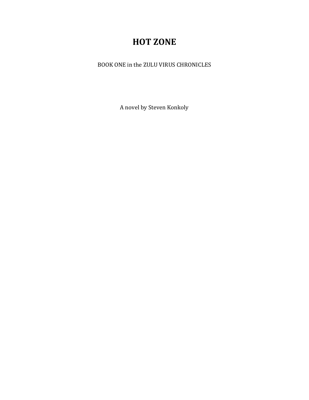# **HOT ZONE**

BOOK ONE in the ZULU VIRUS CHRONICLES

A novel by Steven Konkoly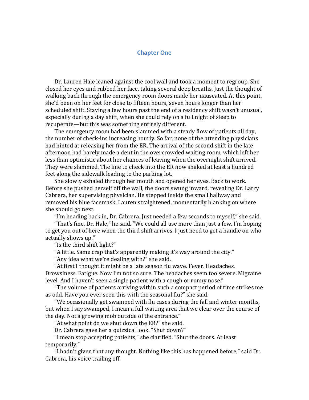#### **Chapter One**

Dr. Lauren Hale leaned against the cool wall and took a moment to regroup. She closed her eyes and rubbed her face, taking several deep breaths. Just the thought of walking back through the emergency room doors made her nauseated. At this point, she'd been on her feet for close to fifteen hours, seven hours longer than her scheduled shift. Staying a few hours past the end of a residency shift wasn't unusual, especially during a day shift, when she could rely on a full night of sleep to recuperate—but this was something entirely different.

The emergency room had been slammed with a steady flow of patients all day, the number of check-ins increasing hourly. So far, none of the attending physicians had hinted at releasing her from the ER. The arrival of the second shift in the late afternoon had barely made a dent in the overcrowded waiting room, which left her less than optimistic about her chances of leaving when the overnight shift arrived. They were slammed. The line to check into the ER now snaked at least a hundred feet along the sidewalk leading to the parking lot.

She slowly exhaled through her mouth and opened her eyes. Back to work. Before she pushed herself off the wall, the doors swung inward, revealing Dr. Larry Cabrera, her supervising physician. He stepped inside the small hallway and removed his blue facemask. Lauren straightened, momentarily blanking on where she should go next.

"I'm heading back in, Dr. Cabrera. Just needed a few seconds to myself," she said.

"That's fine, Dr. Hale," he said. "We could all use more than just a few. I'm hoping to get you out of here when the third shift arrives. I just need to get a handle on who actually shows up."

"Is the third shift light?"

"A little. Same crap that's apparently making it's way around the city."

"Any idea what we're dealing with?" she said.

"At first I thought it might be a late season flu wave. Fever. Headaches. Drowsiness. Fatigue. Now I'm not so sure. The headaches seem too severe. Migraine level. And I haven't seen a single patient with a cough or runny nose."

"The volume of patients arriving within such a compact period of time strikes me as odd. Have you ever seen this with the seasonal flu?" she said.

"We occasionally get swamped with flu cases during the fall and winter months, but when I say swamped. I mean a full waiting area that we clear over the course of the day. Not a growing mob outside of the entrance."

"At what point do we shut down the ER?" she said.

Dr. Cabrera gave her a quizzical look. "Shut down?"

"I mean stop accepting patients," she clarified. "Shut the doors. At least temporarily."

"I hadn't given that any thought. Nothing like this has happened before," said Dr. Cabrera, his voice trailing off.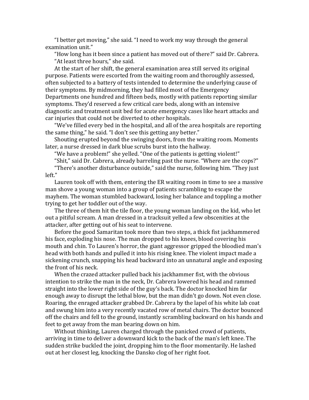"I better get moving," she said. "I need to work my way through the general examination unit."

"How long has it been since a patient has moved out of there?" said Dr. Cabrera. "At least three hours," she said.

At the start of her shift, the general examination area still served its original purpose. Patients were escorted from the waiting room and thoroughly assessed, often subjected to a battery of tests intended to determine the underlying cause of their symptoms. By midmorning, they had filled most of the Emergency Departments one hundred and fifteen beds, mostly with patients reporting similar symptoms. They'd reserved a few critical care beds, along with an intensive diagnostic and treatment unit bed for acute emergency cases like heart attacks and car injuries that could not be diverted to other hospitals.

"We've filled every bed in the hospital, and all of the area hospitals are reporting the same thing," he said. "I don't see this getting any better."

Shouting erupted beyond the swinging doors, from the waiting room. Moments later, a nurse dressed in dark blue scrubs burst into the hallway.

"We have a problem!" she yelled. "One of the patients is getting violent!"

"Shit," said Dr. Cabrera, already barreling past the nurse. "Where are the cops?"

"There's another disturbance outside," said the nurse, following him. "They just left."

Lauren took off with them, entering the ER waiting room in time to see a massive man shove a young woman into a group of patients scrambling to escape the mayhem. The woman stumbled backward, losing her balance and toppling a mother trying to get her toddler out of the way.

The three of them hit the tile floor, the young woman landing on the kid, who let out a pitiful scream. A man dressed in a tracksuit yelled a few obscenities at the attacker, after getting out of his seat to intervene.

Before the good Samaritan took more than two steps, a thick fist jackhammered his face, exploding his nose. The man dropped to his knees, blood covering his mouth and chin. To Lauren's horror, the giant aggressor gripped the bloodied man's head with both hands and pulled it into his rising knee. The violent impact made a sickening crunch, snapping his head backward into an unnatural angle and exposing the front of his neck.

When the crazed attacker pulled back his jackhammer fist, with the obvious intention to strike the man in the neck, Dr. Cabrera lowered his head and rammed straight into the lower right side of the guy's back. The doctor knocked him far enough away to disrupt the lethal blow, but the man didn't go down. Not even close. Roaring, the enraged attacker grabbed Dr. Cabrera by the lapel of his white lab coat and swung him into a very recently vacated row of metal chairs. The doctor bounced off the chairs and fell to the ground, instantly scrambling backward on his hands and feet to get away from the man bearing down on him.

Without thinking, Lauren charged through the panicked crowd of patients, arriving in time to deliver a downward kick to the back of the man's left knee. The sudden strike buckled the joint, dropping him to the floor momentarily. He lashed out at her closest leg, knocking the Dansko clog of her right foot.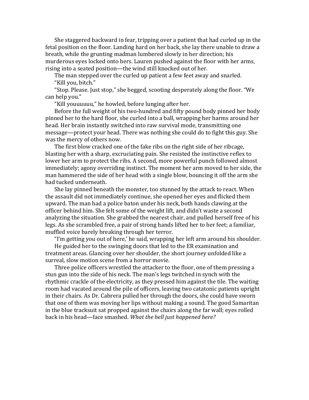She staggered backward in fear, tripping over a patient that had curled up in the fetal position on the floor. Landing hard on her back, she lay there unable to draw a breath, while the grunting madman lumbered slowly in her direction; his murderous eyes locked onto hers. Lauren pushed against the floor with her arms, rising into a seated position—the wind still knocked out of her.

The man stepped over the curled up patient a few feet away and snarled. "Kill you, bitch."

"Stop. Please. Just stop," she begged, scooting desperately along the floor. "We can help you."

"Kill youuuuuu," he howled, before lunging after her.

Before the full weight of his two-hundred and fifty pound body pinned her body pinned her to the hard floor, she curled into a ball, wrapping her harms around her head. Her brain instantly switched into raw survival mode, transmitting one message—protect your head. There was nothing she could do to fight this guy. She was the mercy of others now.

The first blow cracked one of the fake ribs on the right side of her ribcage, blasting her with a sharp, excruciating pain. She resisted the instinctive reflex to lower her arm to protect the ribs. A second, more powerful punch followed almost immediately; agony overriding instinct. The moment her arm moved to her side, the man hammered the side of her head with a single blow, bouncing it off the arm she had tucked underneath.

She lay pinned beneath the monster, too stunned by the attack to react. When the assault did not immediately continue, she opened her eyes and flicked them upward. The man had a police baton under his neck, both hands clawing at the officer behind him. She felt some of the weight lift, and didn't waste a second analyzing the situation. She grabbed the nearest chair, and pulled herself free of his legs. As she scrambled free, a pair of strong hands lifted her to her feet; a familiar, muffled voice barely breaking through her terror.

"I'm getting you out of here,' he said, wrapping her left arm around his shoulder.

He guided her to the swinging doors that led to the ER examination and treatment areas. Glancing over her shoulder, the short journey unfolded like a surreal, slow motion scene from a horror movie.

Three police officers wrestled the attacker to the floor, one of them pressing a stun gun into the side of his neck. The man's legs twitched in synch with the rhythmic crackle of the electricity, as they pressed him against the tile. The waiting room had vacated around the pile of officers, leaving two catatonic patients upright in their chairs. As Dr. Cabrera pulled her through the doors, she could have sworn that one of them was moving her lips without making a sound. The good Samaritan in the blue tracksuit sat propped against the chairs along the far wall; eyes rolled back in his head—face smashed. What the hell just happened here?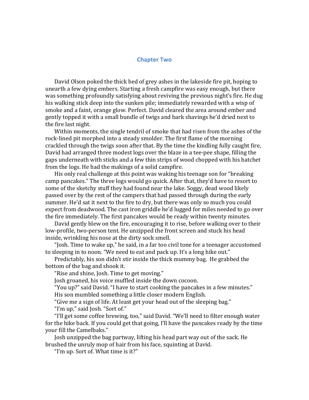#### **Chapter Two**

David Olson poked the thick bed of grey ashes in the lakeside fire pit, hoping to unearth a few dying embers. Starting a fresh campfire was easy enough, but there was something profoundly satisfying about reviving the previous night's fire. He dug his walking stick deep into the sunken pile; immediately rewarded with a wisp of smoke and a faint, orange glow. Perfect. David cleared the area around ember and gently topped it with a small bundle of twigs and bark shavings he'd dried next to the fire last night.

Within moments, the single tendril of smoke that had risen from the ashes of the rock-lined pit morphed into a steady smolder. The first flame of the morning crackled through the twigs soon after that. By the time the kindling fully caught fire, David had arranged three modest logs over the blaze in a tee-pee shape, filling the gaps underneath with sticks and a few thin strips of wood chopped with his hatchet from the logs. He had the makings of a solid campfire.

His only real challenge at this point was waking his teenage son for "breaking" camp pancakes." The three logs would go quick. After that, they'd have to resort to some of the sketchy stuff they had found near the lake. Soggy, dead wood likely passed over by the rest of the campers that had passed through during the early summer. He'd sat it next to the fire to dry, but there was only so much you could expect from deadwood. The cast iron griddle he'd lugged for miles needed to go over the fire immediately. The first pancakes would be ready within twenty minutes.

David gently blew on the fire, encouraging it to rise, before walking over to their low-profile, two-person tent. He unzipped the front screen and stuck his head inside, wrinkling his nose at the dirty sock smell.

"Josh. Time to wake up," he said, in a far too civil tone for a teenager accustomed to sleeping in to noon. "We need to eat and pack up. It's a long hike out."

Predictably, his son didn't stir inside the thick mummy bag. He grabbed the bottom of the bag and shook it.

"Rise and shine, Josh. Time to get moving."

Josh groaned, his voice muffled inside the down cocoon.

"You up?" said David. "I have to start cooking the pancakes in a few minutes." His son mumbled something a little closer modern English.

"Give me a sign of life. At least get your head out of the sleeping bag."

"I'm up," said Josh. "Sort of."

"I'll get some coffee brewing, too," said David. "We'll need to filter enough water for the hike back. If you could get that going, I'll have the pancakes ready by the time your fill the Camelbaks."

Josh unzipped the bag partway, lifting his head part way out of the sack. He brushed the unruly mop of hair from his face, squinting at David.

"I'm up. Sort of. What time is it?"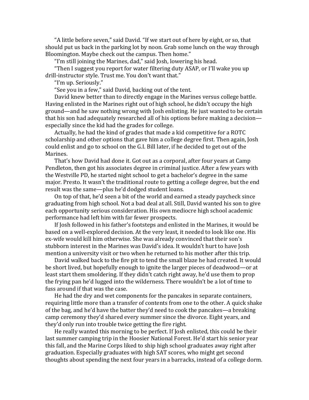"A little before seven," said David. "If we start out of here by eight, or so, that should put us back in the parking lot by noon. Grab some lunch on the way through Bloomington. Maybe check out the campus. Then home."

"I'm still joining the Marines, dad," said Josh, lowering his head.

"Then I suggest you report for water filtering duty ASAP, or I'll wake you up drill-instructor style. Trust me. You don't want that."

"I'm up. Seriously."

"See you in a few," said David, backing out of the tent.

David knew better than to directly engage in the Marines versus college battle. Having enlisted in the Marines right out of high school, he didn't occupy the high ground—and he saw nothing wrong with Josh enlisting. He just wanted to be certain that his son had adequately researched all of his options before making a decision especially since the kid had the grades for college.

Actually, he had the kind of grades that made a kid competitive for a ROTC scholarship and other options that gave him a college degree first. Then again, Josh could enlist and go to school on the G.I. Bill later, if he decided to get out of the Marines.

That's how David had done it. Got out as a corporal, after four years at Camp Pendleton, then got his associates degree in criminal justice. After a few years with the Westville PD, he started night school to get a bachelor's degree in the same major. Presto. It wasn't the traditional route to getting a college degree, but the end result was the same—plus he'd dodged student loans.

On top of that, he'd seen a bit of the world and earned a steady paycheck since graduating from high school. Not a bad deal at all. Still, David wanted his son to give each opportunity serious consideration. His own mediocre high school academic performance had left him with far fewer prospects.

If Josh followed in his father's footsteps and enlisted in the Marines, it would be based on a well-explored decision. At the very least, it needed to look like one. His ex-wife would kill him otherwise. She was already convinced that their son's stubborn interest in the Marines was David's idea. It wouldn't hurt to have Josh mention a university visit or two when he returned to his mother after this trip.

David walked back to the fire pit to tend the small blaze he had created. It would be short lived, but hopefully enough to ignite the larger pieces of deadwood—or at least start them smoldering. If they didn't catch right away, he'd use them to prop the frying pan he'd lugged into the wilderness. There wouldn't be a lot of time to fuss around if that was the case.

He had the dry and wet components for the pancakes in separate containers, requiring little more than a transfer of contents from one to the other. A quick shake of the bag, and he'd have the batter they'd need to cook the pancakes—a breaking camp ceremony they'd shared every summer since the divorce. Eight years, and they'd only run into trouble twice getting the fire right.

He really wanted this morning to be perfect. If Josh enlisted, this could be their last summer camping trip in the Hoosier National Forest. He'd start his senior year this fall, and the Marine Corps liked to ship high school graduates away right after graduation. Especially graduates with high SAT scores, who might get second thoughts about spending the next four years in a barracks, instead of a college dorm.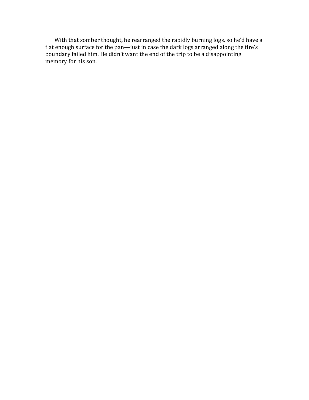With that somber thought, he rearranged the rapidly burning logs, so he'd have a flat enough surface for the pan—just in case the dark logs arranged along the fire's boundary failed him. He didn't want the end of the trip to be a disappointing memory for his son.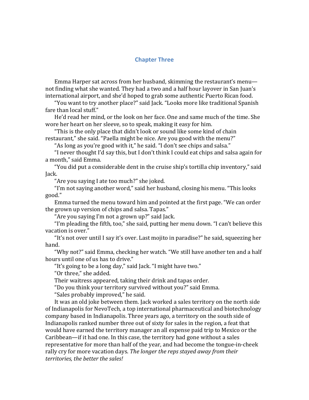## **Chapter Three**

Emma Harper sat across from her husband, skimming the restaurant's menu not finding what she wanted. They had a two and a half hour layover in San Juan's international airport, and she'd hoped to grab some authentic Puerto Rican food.

"You want to try another place?" said Jack. "Looks more like traditional Spanish fare than local stuff."

He'd read her mind, or the look on her face. One and same much of the time. She wore her heart on her sleeve, so to speak, making it easy for him.

"This is the only place that didn't look or sound like some kind of chain restaurant," she said. "Paella might be nice. Are you good with the menu?"

"As long as you're good with it," he said. "I don't see chips and salsa."

"I never thought I'd say this, but I don't think I could eat chips and salsa again for a month," said Emma.

"You did put a considerable dent in the cruise ship's tortilla chip inventory," said Jack.

"Are you saying I ate too much?" she joked.

"I'm not saying another word," said her husband, closing his menu. "This looks" good."

Emma turned the menu toward him and pointed at the first page. "We can order the grown up version of chips and salsa. Tapas."

"Are you saying I'm not a grown up?" said Jack.

"I'm pleading the fifth, too," she said, putting her menu down. "I can't believe this vacation is over."

"It's not over until I say it's over. Last mojito in paradise?" he said, squeezing her hand.

"Why not?" said Emma, checking her watch. "We still have another ten and a half hours until one of us has to drive."

"It's going to be a long day," said Jack. "I might have two."

"Or three." she added.

Their waitress appeared, taking their drink and tapas order.

"Do you think your territory survived without you?" said Emma.

"Sales probably improved," he said.

It was an old joke between them. Jack worked a sales territory on the north side of Indianapolis for NevoTech, a top international pharmaceutical and biotechnology company based in Indianapolis. Three years ago, a territory on the south side of Indianapolis ranked number three out of sixty for sales in the region, a feat that would have earned the territory manager an all expense paid trip to Mexico or the Caribbean—if it had one. In this case, the territory had gone without a sales representative for more than half of the year, and had become the tongue-in-cheek rally cry for more vacation days. The longer the reps stayed away from their *territories, the better the sales!*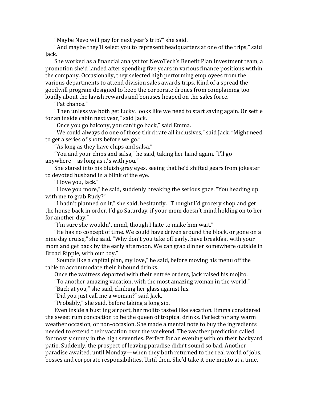"Maybe Nevo will pay for next year's trip?" she said.

"And maybe they'll select you to represent headquarters at one of the trips," said Jack.

She worked as a financial analyst for NevoTech's Benefit Plan Investment team, a promotion she'd landed after spending five years in various finance positions within the company. Occasionally, they selected high performing employees from the various departments to attend division sales awards trips. Kind of a spread the goodwill program designed to keep the corporate drones from complaining too loudly about the lavish rewards and bonuses heaped on the sales force.

"Fat chance."

"Then unless we both get lucky, looks like we need to start saving again. Or settle for an inside cabin next year," said Jack.

"Once you go balcony, you can't go back," said Emma.

"We could always do one of those third rate all inclusives," said Jack. "Might need to get a series of shots before we go."

"As long as they have chips and salsa."

"You and your chips and salsa," he said, taking her hand again. "I'll go anywhere—as long as it's with you."

She stared into his bluish-gray eyes, seeing that he'd shifted gears from jokester to devoted husband in a blink of the eye.

"I love you, Jack."

"I love you more," he said, suddenly breaking the serious gaze. "You heading up with me to grab Rudy?"

"I hadn't planned on it," she said, hesitantly. "Thought I'd grocery shop and get the house back in order. I'd go Saturday, if your mom doesn't mind holding on to her for another day."

"I'm sure she wouldn't mind, though I hate to make him wait."

"He has no concept of time. We could have driven around the block, or gone on a nine day cruise," she said. "Why don't you take off early, have breakfast with your mom and get back by the early afternoon. We can grab dinner somewhere outside in Broad Ripple, with our boy."

"Sounds like a capital plan, my love," he said, before moving his menu off the table to accommodate their inbound drinks.

Once the waitress departed with their entrée orders, Jack raised his mojito. "To another amazing vacation, with the most amazing woman in the world."

"Back at you," she said, clinking her glass against his.

"Did you just call me a woman?" said Jack.

"Probably," she said, before taking a long sip.

Even inside a bustling airport, her mojito tasted like vacation. Emma considered the sweet rum concoction to be the queen of tropical drinks. Perfect for any warm weather occasion, or non-occasion. She made a mental note to buy the ingredients needed to extend their vacation over the weekend. The weather prediction called for mostly sunny in the high seventies. Perfect for an evening with on their backyard patio. Suddenly, the prospect of leaving paradise didn't sound so bad. Another paradise awaited, until Monday—when they both returned to the real world of jobs, bosses and corporate responsibilities. Until then. She'd take it one mojito at a time.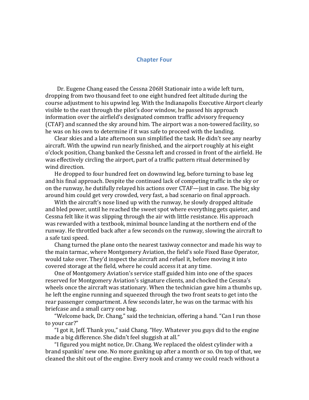#### **Chapter Four**

Dr. Eugene Chang eased the Cessna 206H Stationair into a wide left turn, dropping from two thousand feet to one eight hundred feet altitude during the course adjustment to his upwind leg. With the Indianapolis Executive Airport clearly visible to the east through the pilot's door window, he passed his approach information over the airfield's designated common traffic advisory frequency (CTAF) and scanned the sky around him. The airport was a non-towered facility, so he was on his own to determine if it was safe to proceed with the landing.

Clear skies and a late afternoon sun simplified the task. He didn't see any nearby aircraft. With the upwind run nearly finished, and the airport roughly at his eight o'clock position, Chang banked the Cessna left and crossed in front of the airfield. He was effectively circling the airport, part of a traffic pattern ritual determined by wind direction.

He dropped to four hundred feet on downwind leg, before turning to base leg and his final approach. Despite the continued lack of competing traffic in the sky or on the runway, he dutifully relayed his actions over  $CTAF$ —just in case. The big sky around him could get very crowded, very fast, a bad scenario on final approach.

With the aircraft's nose lined up with the runway, he slowly dropped altitude and bled power, until he reached the sweet spot where everything gets quieter, and Cessna felt like it was slipping through the air with little resistance. His approach was rewarded with a textbook, minimal bounce landing at the northern end of the runway. He throttled back after a few seconds on the runway, slowing the aircraft to a safe taxi speed.

Chang turned the plane onto the nearest taxiway connector and made his way to the main tarmac, where Montgomery Aviation, the field's sole Fixed Base Operator, would take over. They'd inspect the aircraft and refuel it, before moving it into covered storage at the field, where he could access it at any time.

One of Montgomery Aviation's service staff guided him into one of the spaces reserved for Montgomery Aviation's signature clients, and chocked the Cessna's wheels once the aircraft was stationary. When the technician gave him a thumbs up, he left the engine running and squeezed through the two front seats to get into the rear passenger compartment. A few seconds later, he was on the tarmac with his briefcase and a small carry one bag.

"Welcome back, Dr. Chang," said the technician, offering a hand. "Can I run those to vour car?"

"I got it, Jeff. Thank you," said Chang. "Hey. Whatever you guys did to the engine made a big difference. She didn't feel sluggish at all."

"I figured you might notice, Dr. Chang. We replaced the oldest cylinder with a brand spankin' new one. No more gunking up after a month or so. On top of that, we cleaned the shit out of the engine. Every nook and cranny we could reach without a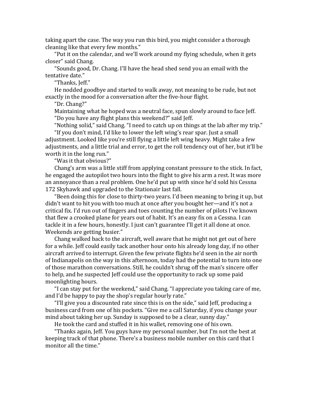taking apart the case. The way you run this bird, you might consider a thorough cleaning like that every few months."

"Put it on the calendar, and we'll work around my flying schedule, when it gets closer" said Chang.

"Sounds good, Dr. Chang. I'll have the head shed send you an email with the tentative date."

"Thanks, Jeff."

He nodded goodbye and started to walk away, not meaning to be rude, but not exactly in the mood for a conversation after the five-hour flight.

"Dr. Chang?"

Maintaining what he hoped was a neutral face, spun slowly around to face Jeff. "Do you have any flight plans this weekend?" said Jeff.

"Nothing solid," said Chang. "I need to catch up on things at the lab after my trip." "If you don't mind, I'd like to lower the left wing's rear spar. Just a small

adjustment. Looked like you're still flying a little left wing heavy. Might take a few adjustments, and a little trial and error, to get the roll tendency out of her, but it'll be worth it in the long run."

"Was it that obvious?"

Chang's arm was a little stiff from applying constant pressure to the stick. In fact, he engaged the autopilot two hours into the flight to give his arm a rest. It was more an annoyance than a real problem. One he'd put up with since he'd sold his Cessna 172 Skyhawk and upgraded to the Stationair last fall.

"Been doing this for close to thirty-two years. I'd been meaning to bring it up, but didn't want to hit you with too much at once after you bought her—and it's not a critical fix. I'd run out of fingers and toes counting the number of pilots I've known that flew a crooked plane for years out of habit. It's an easy fix on a Cessna. I can tackle it in a few hours, honestly. I just can't guarantee I'll get it all done at once. Weekends are getting busier."

Chang walked back to the aircraft, well aware that he might not get out of here for a while. Jeff could easily tack another hour onto his already long day, if no other aircraft arrived to interrupt. Given the few private flights he'd seen in the air north of Indianapolis on the way in this afternoon, today had the potential to turn into one of those marathon conversations. Still, he couldn't shrug off the man's sincere offer to help, and he suspected Jeff could use the opportunity to rack up some paid moonlighting hours.

"I can stay put for the weekend," said Chang. "I appreciate you taking care of me, and I'd be happy to pay the shop's regular hourly rate."

"I'll give you a discounted rate since this is on the side," said Jeff, producing a business card from one of his pockets. "Give me a call Saturday, if you change your mind about taking her up. Sunday is supposed to be a clear, sunny day."

He took the card and stuffed it in his wallet, removing one of his own.

"Thanks again, Jeff. You guys have my personal number, but I'm not the best at keeping track of that phone. There's a business mobile number on this card that I monitor all the time."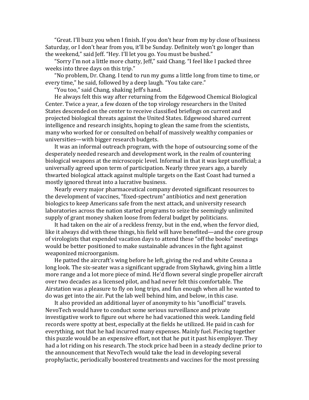"Great. I'll buzz you when I finish. If you don't hear from my by close of business Saturday, or I don't hear from you, it'll be Sunday. Definitely won't go longer than the weekend," said Jeff. "Hey. I'll let you go. You must be bushed."

"Sorry I'm not a little more chatty, Jeff," said Chang. "I feel like I packed three weeks into three days on this trip."

"No problem, Dr. Chang. I tend to run my gums a little long from time to time, or every time," he said, followed by a deep laugh. "You take care."

"You too," said Chang, shaking Jeff's hand.

He always felt this way after returning from the Edgewood Chemical Biological Center. Twice a year, a few dozen of the top virology researchers in the United States descended on the center to receive classified briefings on current and projected biological threats against the United States. Edgewood shared current intelligence and research insights, hoping to glean the same from the scientists, many who worked for or consulted on behalf of massively wealthy companies or universities—with bigger research budgets.

It was an informal outreach program, with the hope of outsourcing some of the desperately needed research and development work, in the realm of countering biological weapons at the microscopic level. Informal in that it was kept unofficial; a universally agreed upon term of participation. Nearly three years ago, a barely thwarted biological attack against multiple targets on the East Coast had turned a mostly ignored threat into a lucrative business.

Nearly every major pharmaceutical company devoted significant resources to the development of vaccines, "fixed-spectrum" antibiotics and next generation biologics to keep Americans safe from the next attack, and university research laboratories across the nation started programs to seize the seemingly unlimited supply of grant money shaken loose from federal budget by politicians.

It had taken on the air of a reckless frenzy, but in the end, when the fervor died, like it always did with these things, his field will have benefited—and the core group of virologists that expended vacation days to attend these "off the books" meetings would be better positioned to make sustainable advances in the fight against weaponized microorganism.

He patted the aircraft's wing before he left, giving the red and white Cessna a long look. The six-seater was a significant upgrade from Skyhawk, giving him a little more range and a lot more piece of mind. He'd flown several single propeller aircraft over two decades as a licensed pilot, and had never felt this comfortable. The Airstation was a pleasure to fly on long trips, and fun enough when all he wanted to do was get into the air. Put the lab well behind him, and below, in this case.

It also provided an additional layer of anonymity to his "unofficial" travels. NevoTech would have to conduct some serious surveillance and private investigative work to figure out where he had vacationed this week. Landing field records were spotty at best, especially at the fields he utilized. He paid in cash for everything, not that he had incurred many expenses. Mainly fuel. Piecing together this puzzle would be an expensive effort, not that he put it past his employer. They had a lot riding on his research. The stock price had been in a steady decline prior to the announcement that NevoTech would take the lead in developing several prophylactic, periodically boostered treatments and vaccines for the most pressing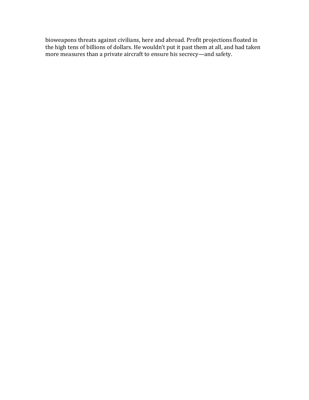bioweapons threats against civilians, here and abroad. Profit projections floated in the high tens of billions of dollars. He wouldn't put it past them at all, and had taken more measures than a private aircraft to ensure his secrecy—and safety.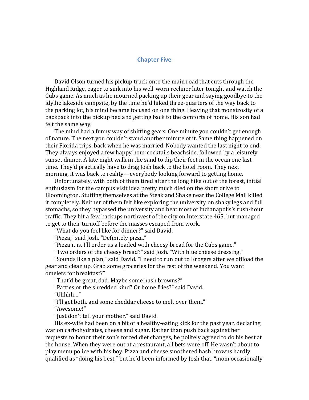#### **Chapter Five**

David Olson turned his pickup truck onto the main road that cuts through the Highland Ridge, eager to sink into his well-worn recliner later tonight and watch the Cubs game. As much as he mourned packing up their gear and saying goodbye to the idyllic lakeside campsite, by the time he'd hiked three-quarters of the way back to the parking lot, his mind became focused on one thing. Heaving that monstrosity of a backpack into the pickup bed and getting back to the comforts of home. His son had felt the same way.

The mind had a funny way of shifting gears. One minute you couldn't get enough of nature. The next you couldn't stand another minute of it. Same thing happened on their Florida trips, back when he was married. Nobody wanted the last night to end. They always enjoyed a few happy hour cocktails beachside, followed by a leisurely sunset dinner. A late night walk in the sand to dip their feet in the ocean one last time. They'd practically have to drag Josh back to the hotel room. They next morning, it was back to reality—everybody looking forward to getting home.

Unfortunately, with both of them tired after the long hike out of the forest, initial enthusiasm for the campus visit idea pretty much died on the short drive to Bloomington. Stuffing themselves at the Steak and Shake near the College Mall killed it completely. Neither of them felt like exploring the university on shaky legs and full stomachs, so they bypassed the university and beat most of Indianapolis's rush-hour traffic. They hit a few backups northwest of the city on Interstate 465, but managed to get to their turnoff before the masses escaped from work.

"What do you feel like for dinner?" said David.

"Pizza," said Josh. "Definitely pizza."

"Pizza it is. I'll order us a loaded with cheesy bread for the Cubs game."

"Two orders of the cheesy bread?" said Josh. "With blue cheese dressing."

"Sounds like a plan," said David. "I need to run out to Krogers after we offload the gear and clean up. Grab some groceries for the rest of the weekend. You want omelets for breakfast?"

"That'd be great, dad. Maybe some hash browns?"

"Patties or the shredded kind? Or home fries?" said David.

"Uhhhh…"

"I'll get both, and some cheddar cheese to melt over them."

"Awesome!"

"Just don't tell your mother," said David.

His ex-wife had been on a bit of a healthy-eating kick for the past year, declaring war on carbohydrates, cheese and sugar. Rather than push back against her requests to honor their son's forced diet changes, he politely agreed to do his best at the house. When they were out at a restaurant, all bets were off. He wasn't about to play menu police with his boy. Pizza and cheese smothered hash browns hardly qualified as "doing his best," but he'd been informed by Josh that, "mom occasionally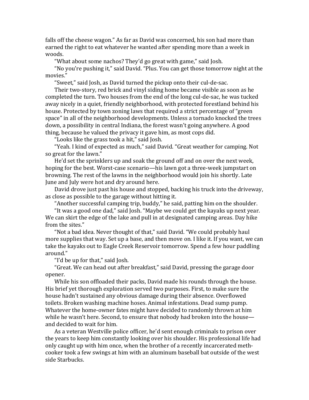falls off the cheese wagon." As far as David was concerned, his son had more than earned the right to eat whatever he wanted after spending more than a week in woods.

"What about some nachos? They'd go great with game," said Josh.

"No you're pushing it," said David. "Plus. You can get those tomorrow night at the movies."

"Sweet," said Josh, as David turned the pickup onto their cul-de-sac.

Their two-story, red brick and vinyl siding home became visible as soon as he completed the turn. Two houses from the end of the long cul-de-sac, he was tucked away nicely in a quiet, friendly neighborhood, with protected forestland behind his house. Protected by town zoning laws that required a strict percentage of "green space" in all of the neighborhood developments. Unless a tornado knocked the trees down, a possibility in central Indiana, the forest wasn't going anywhere. A good thing, because he valued the privacy it gave him, as most cops did.

"Looks like the grass took a hit," said Josh.

"Yeah. I kind of expected as much," said David. "Great weather for camping. Not so great for the lawn."

He'd set the sprinklers up and soak the ground off and on over the next week, hoping for the best. Worst-case scenario—his lawn got a three-week jumpstart on browning. The rest of the lawns in the neighborhood would join his shortly. Late June and July were hot and dry around here.

David drove just past his house and stopped, backing his truck into the driveway, as close as possible to the garage without hitting it.

"Another successful camping trip, buddy," he said, patting him on the shoulder.

"It was a good one dad," said Josh. "Maybe we could get the kayaks up next year. We can skirt the edge of the lake and pull in at designated camping areas. Day hike from the sites."

"Not a bad idea. Never thought of that," said David. "We could probably haul more supplies that way. Set up a base, and then move on. I like it. If you want, we can take the kayaks out to Eagle Creek Reservoir tomorrow. Spend a few hour paddling around."

"I'd be up for that," said Josh.

"Great. We can head out after breakfast," said David, pressing the garage door opener. 

While his son offloaded their packs, David made his rounds through the house. His brief yet thorough exploration served two purposes. First, to make sure the house hadn't sustained any obvious damage during their absence. Overflowed toilets. Broken washing machine hoses. Animal infestations. Dead sump pump. Whatever the home-owner fates might have decided to randomly thrown at him while he wasn't here. Second, to ensure that nobody had broken into the house and decided to wait for him.

As a veteran Westville police officer, he'd sent enough criminals to prison over the years to keep him constantly looking over his shoulder. His professional life had only caught up with him once, when the brother of a recently incarcerated methcooker took a few swings at him with an aluminum baseball bat outside of the west side Starbucks.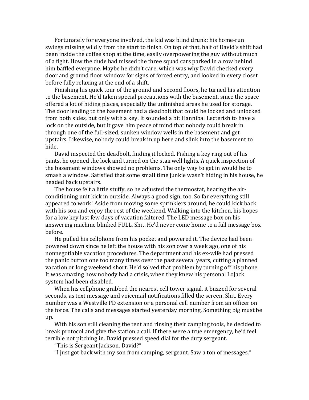Fortunately for everyone involved, the kid was blind drunk; his home-run swings missing wildly from the start to finish. On top of that, half of David's shift had been inside the coffee shop at the time, easily overpowering the guy without much of a fight. How the dude had missed the three squad cars parked in a row behind him baffled everyone. Maybe he didn't care, which was why David checked every door and ground floor window for signs of forced entry, and looked in every closet before fully relaxing at the end of a shift.

Finishing his quick tour of the ground and second floors, he turned his attention to the basement. He'd taken special precautions with the basement, since the space offered a lot of hiding places, especially the unfinished areas he used for storage. The door leading to the basement had a deadbolt that could be locked and unlocked from both sides, but only with a key. It sounded a bit Hannibal Lecterish to have a lock on the outside, but it gave him peace of mind that nobody could break in through one of the full-sized, sunken window wells in the basement and get upstairs. Likewise, nobody could break in up here and slink into the basement to hide. 

David inspected the deadbolt, finding it locked. Fishing a key ring out of his pants, he opened the lock and turned on the stairwell lights. A quick inspection of the basement windows showed no problems. The only way to get in would be to smash a window. Satisfied that some small time junkie wasn't hiding in his house, he headed back upstairs.

The house felt a little stuffy, so he adjusted the thermostat, hearing the airconditioning unit kick in outside. Always a good sign, too. So far everything still appeared to work! Aside from moving some sprinklers around, he could kick back with his son and enjoy the rest of the weekend. Walking into the kitchen, his hopes for a low key last few days of vacation faltered. The LED message box on his answering machine blinked FULL. Shit. He'd never come home to a full message box before. 

He pulled his cellphone from his pocket and powered it. The device had been powered down since he left the house with his son over a week ago, one of his nonnegotiable vacation procedures. The department and his ex-wife had pressed the panic button one too many times over the past several years, cutting a planned vacation or long weekend short. He'd solved that problem by turning off his phone. It was amazing how nobody had a crisis, when they knew his personal LoJack system had been disabled.

When his cellphone grabbed the nearest cell tower signal, it buzzed for several seconds, as text message and voicemail notifications filled the screen. Shit. Every number was a Westville PD extension or a personal cell number from an officer on the force. The calls and messages started yesterday morning. Something big must be up.

With his son still cleaning the tent and rinsing their camping tools, he decided to break protocol and give the station a call. If there were a true emergency, he'd feel terrible not pitching in. David pressed speed dial for the duty sergeant.

"This is Sergeant Jackson. David?"

"I just got back with my son from camping, sergeant. Saw a ton of messages."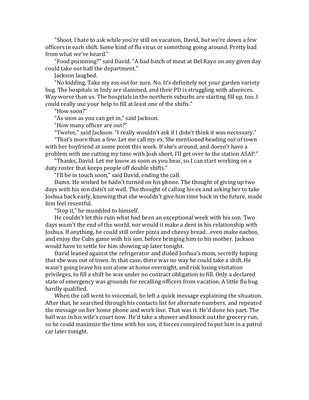"Shoot. I hate to ask while you're still on vacation, David, but we're down a few officers in each shift. Some kind of flu virus or something going around. Pretty bad from what we've heard."

"Food poisoning?" said David. "A bad batch of meat at Del Rayo on any given day could take out half the department."

Jackson laughed. 

"No kidding. Take my ass out for sure. No. It's definitely not your garden variety bug. The hospitals in Indy are slammed, and their PD is struggling with absences. Way worse than us. The hospitals in the northern suburbs are starting fill up, too. I could really use your help to fill at least one of the shifts."

"How soon?"

"As soon as you can get in," said Jackson.

"How many officer are out?"

"Twelve," said Jackson. "I really wouldn't ask if I didn't think it was necessary."

"That's more than a few. Let me call my ex. She mentioned heading out of town with her boyfriend at some point this week. If she's around, and doesn't have a problem with me cutting my time with Josh short, I'll get over to the station ASAP."

"Thanks, David. Let me know as soon as you hear, so I can start working on a duty roster that keeps people off double shifts."

"I'll be in touch soon," said David, ending the call.

Damn. He wished he hadn't turned on his phone. The thought of giving up two days with his son didn't sit well. The thought of calling his ex and asking her to take Joshua back early, knowing that she wouldn't give him time back in the future, made him feel resentful.

"Stop it," he mumbled to himself.

He couldn't let this ruin what had been an exceptional week with his son. Two days wasn't the end of the world, nor would it make a dent in his relationship with Joshua. If anything, he could still order pizza and cheesy bread...even make nachos, and enjoy the Cubs game with his son, before bringing him to his mother. Jackson would have to settle for him showing up later tonight.

David leaned against the refrigerator and dialed Joshua's mom, secretly hoping that she was out of town. In that case, there was no way he could take a shift. He wasn't going leave his son alone at home overnight, and risk losing visitation privileges, to fill a shift he was under no contract obligation to fill. Only a declared state of emergency was grounds for recalling officers from vacation. A little flu bug hardly qualified.

When the call went to voicemail, he left a quick message explaining the situation. After that, he searched through his contacts list for alternate numbers, and repeated the message on her home phone and work line. That was it. He'd done his part. The ball was in his wife's court now. He'd take a shower and knock out the grocery run, so he could maximize the time with his son, if forces conspired to put him in a patrol car later tonight.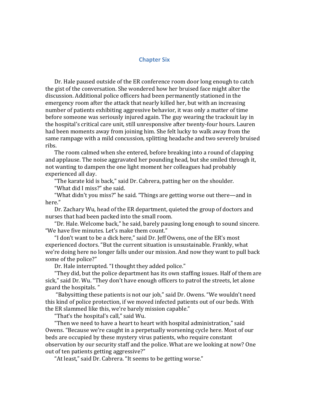#### **Chapter Six**

Dr. Hale paused outside of the ER conference room door long enough to catch the gist of the conversation. She wondered how her bruised face might alter the discussion. Additional police officers had been permanently stationed in the emergency room after the attack that nearly killed her, but with an increasing number of patients exhibiting aggressive behavior, it was only a matter of time before someone was seriously injured again. The guy wearing the tracksuit lay in the hospital's critical care unit, still unresponsive after twenty-four hours. Lauren had been moments away from joining him. She felt lucky to walk away from the same rampage with a mild concussion, splitting headache and two severely bruised ribs. 

The room calmed when she entered, before breaking into a round of clapping and applause. The noise aggravated her pounding head, but she smiled through it, not wanting to dampen the one light moment her colleagues had probably experienced all day.

"The karate kid is back," said Dr. Cabrera, patting her on the shoulder. "What did I miss?" she said.

"What didn't you miss?" he said. "Things are getting worse out there—and in here."

Dr. Zachary Wu, head of the ER department, quieted the group of doctors and nurses that had been packed into the small room.

"Dr. Hale. Welcome back," he said, barely pausing long enough to sound sincere. "We have five minutes. Let's make them count."

"I don't want to be a dick here," said Dr. Jeff Owens, one of the ER's most experienced doctors. "But the current situation is unsustainable. Frankly, what we're doing here no longer falls under our mission. And now they want to pull back some of the police?"

Dr. Hale interrupted. "I thought they added police."

"They did, but the police department has its own staffing issues. Half of them are sick," said Dr. Wu. "They don't have enough officers to patrol the streets, let alone guard the hospitals."

"Babysitting these patients is not our job," said Dr. Owens. "We wouldn't need this kind of police protection, if we moved infected patients out of our beds. With the ER slammed like this, we're barely mission capable."

"That's the hospital's call," said Wu.

"Then we need to have a heart to heart with hospital administration," said Owens. "Because we're caught in a perpetually worsening cycle here. Most of our beds are occupied by these mystery virus patients, who require constant observation by our security staff and the police. What are we looking at now? One out of ten patients getting aggressive?"

"At least," said Dr. Cabrera. "It seems to be getting worse."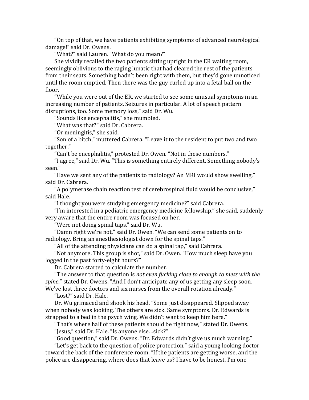"On top of that, we have patients exhibiting symptoms of advanced neurological damage!" said Dr. Owens.

"What?" said Lauren. "What do you mean?"

She vividly recalled the two patients sitting upright in the ER waiting room, seemingly oblivious to the raging lunatic that had cleared the rest of the patients from their seats. Something hadn't been right with them, but they'd gone unnoticed until the room emptied. Then there was the guy curled up into a fetal ball on the floor. 

"While you were out of the ER, we started to see some unusual symptoms in an increasing number of patients. Seizures in particular. A lot of speech pattern disruptions, too. Some memory loss," said Dr. Wu.

"Sounds like encephalitis," she mumbled.

"What was that?" said Dr. Cabrera.

"Or meningitis," she said.

"Son of a bitch," muttered Cabrera. "Leave it to the resident to put two and two together."

"Can't be encephalitis," protested Dr. Owen. "Not in these numbers."

"I agree," said Dr. Wu. "This is something entirely different. Something nobody's seen."

"Have we sent any of the patients to radiology? An MRI would show swelling," said Dr. Cabrera.

"A polymerase chain reaction test of cerebrospinal fluid would be conclusive," said Hale.

"I thought you were studying emergency medicine?" said Cabrera.

"I'm interested in a pediatric emergency medicine fellowship," she said, suddenly very aware that the entire room was focused on her.

"Were not doing spinal taps," said Dr. Wu.

"Damn right we're not," said Dr. Owen. "We can send some patients on to radiology. Bring an anesthesiologist down for the spinal taps."

"All of the attending physicians can do a spinal tap," said Cabrera.

"Not anymore. This group is shot," said Dr. Owen. "How much sleep have you logged in the past forty-eight hours?"

Dr. Cabrera started to calculate the number.

"The answer to that question is *not even fucking close to enough to mess with the* spine," stated Dr. Owens. "And I don't anticipate any of us getting any sleep soon. We've lost three doctors and six nurses from the overall rotation already."

"Lost?" said Dr. Hale.

Dr. Wu grimaced and shook his head. "Some just disappeared. Slipped away when nobody was looking. The others are sick. Same symptoms. Dr. Edwards is strapped to a bed in the psych wing. We didn't want to keep him here."

"That's where half of these patients should be right now," stated Dr. Owens. "Jesus," said Dr. Hale. "Is anyone else...sick?"

"Good question," said Dr. Owens. "Dr. Edwards didn't give us much warning."

"Let's get back to the question of police protection," said a young looking doctor toward the back of the conference room. "If the patients are getting worse, and the police are disappearing, where does that leave us? I have to be honest. I'm one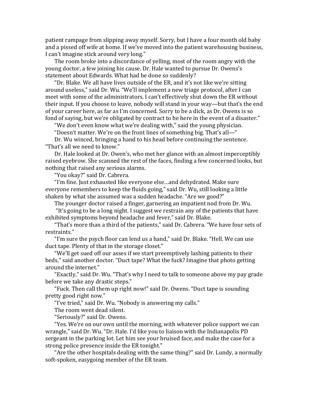patient rampage from slipping away myself. Sorry, but I have a four month old baby and a pissed off wife at home. If we've moved into the patient warehousing business, I can't imagine stick around very long."

The room broke into a discordance of yelling, most of the room angry with the young doctor, a few joining his cause. Dr. Hale wanted to pursue Dr. Owens's statement about Edwards. What had he done so suddenly?

"Dr. Blake. We all have lives outside of the ER, and it's not like we're sitting around useless," said Dr. Wu. "We'll implement a new triage protocol, after I can meet with some of the administrators. I can't effectively shut down the ER without their input. If you choose to leave, nobody will stand in your way—but that's the end of your career here, as far as I'm concerned. Sorry to be a dick, as Dr. Owens is so fond of saying, but we're obligated by contract to be here in the event of a disaster."

"We don't even know what we're dealing with," said the young physician.

"Doesn't matter. We're on the front lines of something big. That's all—"

Dr. Wu winced, bringing a hand to his head before continuing the sentence. "That's all we need to know."

Dr. Hale looked at Dr. Owen's, who met her glance with an almost imperceptibly raised eyebrow. She scanned the rest of the faces, finding a few concerned looks, but nothing that raised any serious alarms.

"You okay?" said Dr. Cabrera.

"I'm fine. Just exhausted like everyone else...and dehydrated. Make sure everyone remembers to keep the fluids going," said Dr. Wu, still looking a little shaken by what she assumed was a sudden headache. "Are we good?"

The vounger doctor raised a finger, garnering an impatient nod from Dr. Wu.

"It's going to be a long night. I suggest we restrain any of the patients that have exhibited symptoms beyond headache and fever," said Dr. Blake.

"That's more than a third of the patients," said Dr. Cabrera. "We have four sets of restraints."

"I'm sure the psych floor can lend us a hand," said Dr. Blake. "Hell. We can use duct tape. Plenty of that in the storage closet."

"We'll get sued off our asses if we start preemptively lashing patients to their beds," said another doctor. "Duct tape? What the fuck? Imagine that photo getting around the internet."

"Exactly," said Dr. Wu. "That's why I need to talk to someone above my pay grade before we take any drastic steps."

"Fuck. Then call them up right now!" said Dr. Owens. "Duct tape is sounding pretty good right now."

"I've tried," said Dr. Wu. "Nobody is answering my calls."

The room went dead silent.

"Seriously?" said Dr. Owens.

"Yes. We're on our own until the morning, with whatever police support we can wrangle," said Dr. Wu. "Dr. Hale. I'd like you to liaison with the Indianapolis PD sergeant in the parking lot. Let him see your bruised face, and make the case for a strong police presence inside the ER tonight."

"Are the other hospitals dealing with the same thing?" said Dr. Lundy, a normally soft-spoken, easygoing member of the ER team.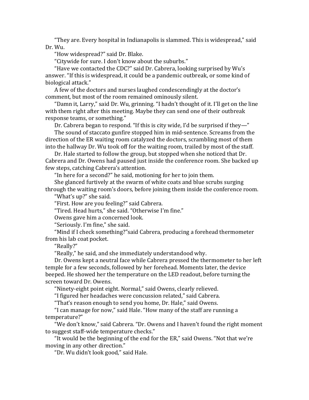"They are. Every hospital in Indianapolis is slammed. This is widespread," said Dr. Wu.

"How widespread?" said Dr. Blake.

"Citywide for sure. I don't know about the suburbs."

"Have we contacted the CDC?" said Dr. Cabrera, looking surprised by Wu's answer. "If this is widespread, it could be a pandemic outbreak, or some kind of biological attack."

A few of the doctors and nurses laughed condescendingly at the doctor's comment, but most of the room remained ominously silent.

"Damn it, Larry," said Dr. Wu, grinning. "I hadn't thought of it. I'll get on the line with them right after this meeting. Maybe they can send one of their outbreak response teams, or something."

Dr. Cabrera began to respond. "If this is city wide, I'd be surprised if they—"

The sound of staccato gunfire stopped him in mid-sentence. Screams from the direction of the ER waiting room catalyzed the doctors, scrambling most of them into the hallway Dr. Wu took off for the waiting room, trailed by most of the staff.

Dr. Hale started to follow the group, but stopped when she noticed that Dr. Cabrera and Dr. Owens had paused just inside the conference room. She backed up few steps, catching Cabrera's attention.

"In here for a second?" he said, motioning for her to join them.

She glanced furtively at the swarm of white coats and blue scrubs surging through the waiting room's doors, before joining them inside the conference room.

"What's up?" she said.

"First. How are you feeling?" said Cabrera.

"Tired. Head hurts," she said. "Otherwise I'm fine."

Owens gave him a concerned look.

"Seriously. I'm fine," she said.

"Mind if I check something?" said Cabrera, producing a forehead thermometer from his lab coat pocket.

"Really?"

"Really," he said, and she immediately understandood why.

Dr. Owens kept a neutral face while Cabrera pressed the thermometer to her left temple for a few seconds, followed by her forehead. Moments later, the device beeped. He showed her the temperature on the LED readout, before turning the screen toward Dr. Owens.

"Ninety-eight point eight. Normal," said Owens, clearly relieved.

"I figured her headaches were concussion related," said Cabrera.

"That's reason enough to send you home, Dr. Hale," said Owens.

"I can manage for now," said Hale. "How many of the staff are running a temperature?" 

"We don't know," said Cabrera. "Dr. Owens and I haven't found the right moment to suggest staff-wide temperature checks."

"It would be the beginning of the end for the  $ER''$ , said Owens. "Not that we're moving in any other direction."

"Dr. Wu didn't look good," said Hale.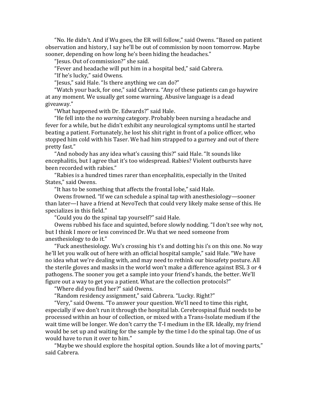"No. He didn't. And if Wu goes, the ER will follow," said Owens. "Based on patient observation and history, I say he'll be out of commission by noon tomorrow. Maybe sooner, depending on how long he's been hiding the headaches."

"Iesus. Out of commission?" she said.

"Fever and headache will put him in a hospital bed," said Cabrera.

"If he's lucky," said Owens.

"Jesus," said Hale. "Is there anything we can do?"

"Watch your back, for one," said Cabrera. "Any of these patients can go haywire at any moment. We usually get some warning. Abusive language is a dead giveaway."

"What happened with Dr. Edwards?" said Hale.

"He fell into the *no warning* category. Probably been nursing a headache and fever for a while, but he didn't exhibit any neurological symptoms until he started beating a patient. Fortunately, he lost his shit right in front of a police officer, who stopped him cold with his Taser. We had him strapped to a gurney and out of there pretty fast."

"And nobody has any idea what's causing this?" said Hale. "It sounds like encephalitis, but I agree that it's too widespread. Rabies? Violent outbursts have been recorded with rabies."

"Rabies is a hundred times rarer than encephalitis, especially in the United States," said Owens.

"It has to be something that affects the frontal lobe," said Hale.

Owens frowned. "If we can schedule a spinal tap with anesthesiology—sooner than later—I have a friend at NevoTech that could very likely make sense of this. He specializes in this field."

"Could you do the spinal tap yourself?" said Hale.

Owens rubbed his face and squinted, before slowly nodding. "I don't see why not, but I think I more or less convinced Dr. Wu that we need someone from anesthesiology to do it."

"Fuck anesthesiology. Wu's crossing his t's and dotting his i's on this one. No way he'll let vou walk out of here with an official hospital sample," said Hale. "We have no idea what we're dealing with, and may need to rethink our biosafety posture. All the sterile gloves and masks in the world won't make a difference against BSL 3 or  $4$ pathogens. The sooner you get a sample into your friend's hands, the better. We'll figure out a way to get you a patient. What are the collection protocols?"

"Where did you find her?" said Owens.

"Random residency assignment," said Cabrera. "Lucky. Right?"

"Very," said Owens. "To answer your question. We'll need to time this right, especially if we don't run it through the hospital lab. Cerebrospinal fluid needs to be processed within an hour of collection, or mixed with a Trans-Isolate medium if the wait time will be longer. We don't carry the T-I medium in the ER. Ideally, my friend would be set up and waiting for the sample by the time I do the spinal tap. One of us would have to run it over to him."

"Maybe we should explore the hospital option. Sounds like a lot of moving parts," said Cabrera.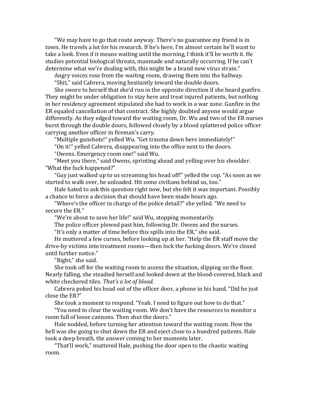"We may have to go that route anyway. There's no guarantee my friend is in town. He travels a lot for his research. If he's here, I'm almost certain he'll want to take a look. Even if it means waiting until the morning, I think it'll be worth it. He studies potential biological threats, manmade and naturally occurring. If he can't determine what we're dealing with, this might be a brand new virus strain."

Angry voices rose from the waiting room, drawing them into the hallway. "Shit," said Cabrera, moving hesitantly toward the double doors.

She swore to herself that she'd run in the opposite direction if she heard gunfire. They might be under obligation to stay here and treat injured patients, but nothing in her residency agreement stipulated she had to work in a war zone. Gunfire in the ER equaled cancellation of that contract. She highly doubted anyone would argue differently. As they edged toward the waiting room, Dr. Wu and two of the ER nurses burst through the double doors, followed closely by a blood splattered police officer carrying another officer in fireman's carry.

"Multiple gunshots!" velled Wu. "Get trauma down here immediately!"

"On it!" yelled Cabrera, disappearing into the office next to the doors.

"Owens. Emergency room one!" said Wu.

"Meet you there," said Owens, sprinting ahead and yelling over his shoulder. "What the fuck happened?"

"Guy just walked up to us screaming his head off!" yelled the cop. "As soon as we started to walk over, he unloaded. Hit some civilians behind us, too."

Hale hated to ask this question right now, but she felt it was important. Possibly a chance to force a decision that should have been made hours ago.

"Where's the officer in charge of the police detail?" she velled. "We need to secure the ER."

"We're about to save her life!" said Wu, stopping momentarily.

The police officer plowed past him, following Dr. Owens and the nurses.

"It's only a matter of time before this spills into the  $ER$ ," she said.

He muttered a few curses, before looking up at her. "Help the ER staff move the drive-by victims into treatment rooms—then lock the fucking doors. We're closed until further notice."

"Right," she said.

She took off for the waiting room to assess the situation, slipping on the floor. Nearly falling, she steadied herself and looked down at the blood-covered, black and white checkered tiles. That's a lot of blood.

Cabrera poked his head out of the officer door, a phone in his hand. "Did he just close the ER?"

She took a moment to respond. "Yeah. I need to figure out how to do that."

"You need to clear the waiting room. We don't have the resources to monitor a room full of loose cannons. Then shut the doors."

Hale nodded, before turning her attention toward the waiting room. How the hell was she going to shut down the ER and eject close to a hundred patients. Hale took a deep breath, the answer coming to her moments later.

"That'll work," muttered Hale, pushing the door open to the chaotic waiting room.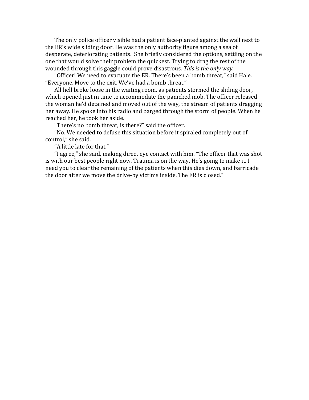The only police officer visible had a patient face-planted against the wall next to the ER's wide sliding door. He was the only authority figure among a sea of desperate, deteriorating patients. She briefly considered the options, settling on the one that would solve their problem the quickest. Trying to drag the rest of the wounded through this gaggle could prove disastrous. This is the only way.

"Officer! We need to evacuate the ER. There's been a bomb threat," said Hale. "Everyone. Move to the exit. We've had a bomb threat."

All hell broke loose in the waiting room, as patients stormed the sliding door, which opened just in time to accommodate the panicked mob. The officer released the woman he'd detained and moved out of the way, the stream of patients dragging her away. He spoke into his radio and barged through the storm of people. When he reached her, he took her aside.

"There's no bomb threat, is there?" said the officer.

"No. We needed to defuse this situation before it spiraled completely out of control," she said.

"A little late for that."

"I agree," she said, making direct eye contact with him. "The officer that was shot is with our best people right now. Trauma is on the way. He's going to make it. I need you to clear the remaining of the patients when this dies down, and barricade the door after we move the drive-by victims inside. The ER is closed."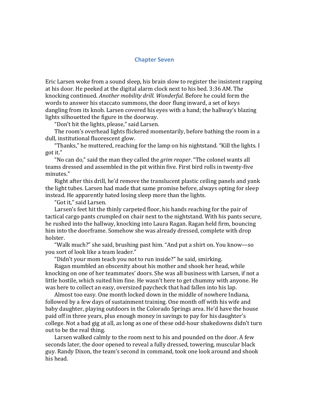### **Chapter Seven**

Eric Larsen woke from a sound sleep, his brain slow to register the insistent rapping at his door. He peeked at the digital alarm clock next to his bed. 3:36 AM. The knocking continued. *Another mobility drill. Wonderful.* Before he could form the words to answer his staccato summons, the door flung inward, a set of keys dangling from its knob. Larsen covered his eyes with a hand; the hallway's blazing lights silhouetted the figure in the doorway.

"Don't hit the lights, please," said Larsen.

The room's overhead lights flickered momentarily, before bathing the room in a dull, institutional fluorescent glow.

"Thanks," he muttered, reaching for the lamp on his nightstand. "Kill the lights. I got it."

"No can do," said the man they called the *grim reaper*. "The colonel wants all teams dressed and assembled in the pit within five. First bird rolls in twenty-five minutes."

Right after this drill, he'd remove the translucent plastic ceiling panels and yank the light tubes. Larsen had made that same promise before, always opting for sleep instead. He apparently hated losing sleep more than the lights.

"Got it," said Larsen.

Larsen's feet hit the thinly carpeted floor, his hands reaching for the pair of tactical cargo pants crumpled on chair next to the nightstand. With his pants secure, he rushed into the hallway, knocking into Laura Ragan, Ragan held firm, bouncing him into the doorframe. Somehow she was already dressed, complete with drop holster.

"Walk much?" she said, brushing past him. "And put a shirt on. You know—so you sort of look like a team leader."

"Didn't your mom teach you not to run inside?" he said, smirking.

Ragan mumbled an obscenity about his mother and shook her head, while knocking on one of her teammates' doors. She was all business with Larsen, if not a little hostile, which suited him fine. He wasn't here to get chummy with anyone. He was here to collect an easy, oversized paycheck that had fallen into his lap.

Almost too easy. One month locked down in the middle of nowhere Indiana, followed by a few days of sustainment training. One month off with his wife and baby daughter, playing outdoors in the Colorado Springs area. He'd have the house paid off in three years, plus enough money in savings to pay for his daughter's college. Not a bad gig at all, as long as one of these odd-hour shakedowns didn't turn out to be the real thing.

Larsen walked calmly to the room next to his and pounded on the door. A few seconds later, the door opened to reveal a fully dressed, towering, muscular black guy. Randy Dixon, the team's second in command, took one look around and shook his head.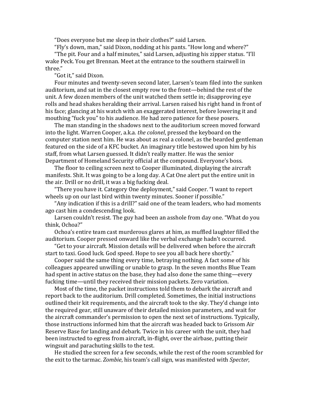"Does everyone but me sleep in their clothes?" said Larsen.

"Fly's down, man," said Dixon, nodding at his pants. "How long and where?"

"The pit. Four and a half minutes," said Larsen, adjusting his zipper status. "I'll wake Peck. You get Brennan. Meet at the entrance to the southern stairwell in three."

"Got it." said Dixon.

Four minutes and twenty-seven second later, Larsen's team filed into the sunken auditorium, and sat in the closest empty row to the front—behind the rest of the unit. A few dozen members of the unit watched them settle in; disapproving eye rolls and head shakes heralding their arrival. Larsen raised his right hand in front of his face; glancing at his watch with an exaggerated interest, before lowering it and mouthing "fuck you" to his audience. He had zero patience for these posers.

The man standing in the shadows next to the auditorium screen moved forward into the light. Warren Cooper, a.k.a. *the colonel*, pressed the keyboard on the computer station next him. He was about as real a colonel, as the bearded gentleman featured on the side of a KFC bucket. An imaginary title bestowed upon him by his staff, from what Larsen guessed. It didn't really matter. He was the senior Department of Homeland Security official at the compound. Everyone's boss.

The floor to ceiling screen next to Cooper illuminated, displaying the aircraft manifests. Shit. It was going to be a long day. A Cat One alert put the entire unit in the air. Drill or no drill, it was a big fucking deal.

"There you have it. Category One deployment," said Cooper. "I want to report wheels up on our last bird within twenty minutes. Sooner if possible."

"Any indication if this is a drill?" said one of the team leaders, who had moments ago cast him a condescending look.

Larsen couldn't resist. The guy had been an asshole from day one. "What do you think, Ochoa?"

Ochoa's entire team cast murderous glares at him, as muffled laughter filled the auditorium. Cooper pressed onward like the verbal exchange hadn't occurred.

"Get to your aircraft. Mission details will be delivered when before the aircraft start to taxi. Good luck. God speed. Hope to see you all back here shortly."

Cooper said the same thing every time, betraying nothing. A fact some of his colleagues appeared unwilling or unable to grasp. In the seven months Blue Team had spent in active status on the base, they had also done the same thing—every fucking time—until they received their mission packets. Zero variation.

Most of the time, the packet instructions told them to debark the aircraft and report back to the auditorium. Drill completed. Sometimes, the initial instructions outlined their kit requirements, and the aircraft took to the sky. They'd change into the required gear, still unaware of their detailed mission parameters, and wait for the aircraft commander's permission to open the next set of instructions. Typically, those instructions informed him that the aircraft was headed back to Grissom Air Reserve Base for landing and debark. Twice in his career with the unit, they had been instructed to egress from aircraft, in-flight, over the airbase, putting their wingsuit and parachuting skills to the test.

He studied the screen for a few seconds, while the rest of the room scrambled for the exit to the tarmac. *Zombie*, his team's call sign, was manifested with *Specter*,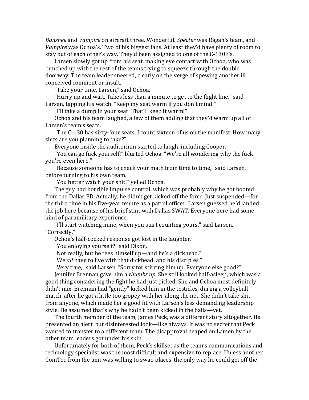*Banshee* and *Vampire* on aircraft three. Wonderful. *Specter* was Ragan's team, and *Vampire* was Ochoa's. Two of his biggest fans. At least they'd have plenty of room to stay out of each other's way. They'd been assigned to one of the C-130E's.

Larsen slowly got up from his seat, making eye contact with Ochoa, who was bunched up with the rest of the teams trying to squeeze through the double doorway. The team leader sneered, clearly on the verge of spewing another ill conceived comment or insult.

"Take your time, Larsen," said Ochoa.

"Hurry up and wait. Takes less than a minute to get to the flight line," said Larsen, tapping his watch. "Keep my seat warm if you don't mind."

"I'll take a dump in your seat! That'll keep it warm!"

Ochoa and his team laughed, a few of them adding that they'd warm up all of Larsen's team's seats.

"The  $C-130$  has sixty-four seats. I count sixteen of us on the manifest. How many shits are you planning to take?"

Everyone inside the auditorium started to laugh, including Cooper.

"You can go fuck yourself!" blurted Ochoa. "We're all wondering why the fuck you're even here."

"Because someone has to check your math from time to time," said Larsen, before turning to his own team.

"You better watch your shit!" yelled Ochoa.

The guy had horrible impulse control, which was probably why he got booted from the Dallas PD. Actually, he didn't get kicked off the force. Just suspended—for the third time in his five-year tenure as a patrol officer. Larsen guessed he'd landed the job here because of his brief stint with Dallas SWAT. Everyone here had some kind of paramilitary experience.

"I'll start watching mine, when you start counting yours," said Larsen. "Correctly."

Ochoa's half-cocked response got lost in the laughter.

"You enjoying yourself?" said Dixon.

"Not really, but he tees himself up—and he's a dickhead."

"We all have to live with that dickhead, and his disciples."

"Very true," said Larsen. "Sorry for stirring him up. Everyone else good?"

Jennifer Brennan gave him a *thumbs up*. She still looked half-asleep, which was a good thing considering the fight he had just picked. She and Ochoa most definitely didn't mix. Brennan had "gently" kicked him in the testicles, during a volleyball match, after he got a little too gropey with her along the net. She didn't take shit from anyone, which made her a good fit with Larsen's less demanding leadership style. He assumed that's why he hadn't been kicked in the balls—yet.

The fourth member of the team, James Peck, was a different story altogether. He presented an alert, but disinterested look—like always. It was no secret that Peck wanted to transfer to a different team. The disapproval heaped on Larsen by the other team leaders got under his skin.

Unfortunately for both of them, Peck's skillset as the team's communications and technology specialist was the most difficult and expensive to replace. Unless another ComTec from the unit was willing to swap places, the only way he could get off the